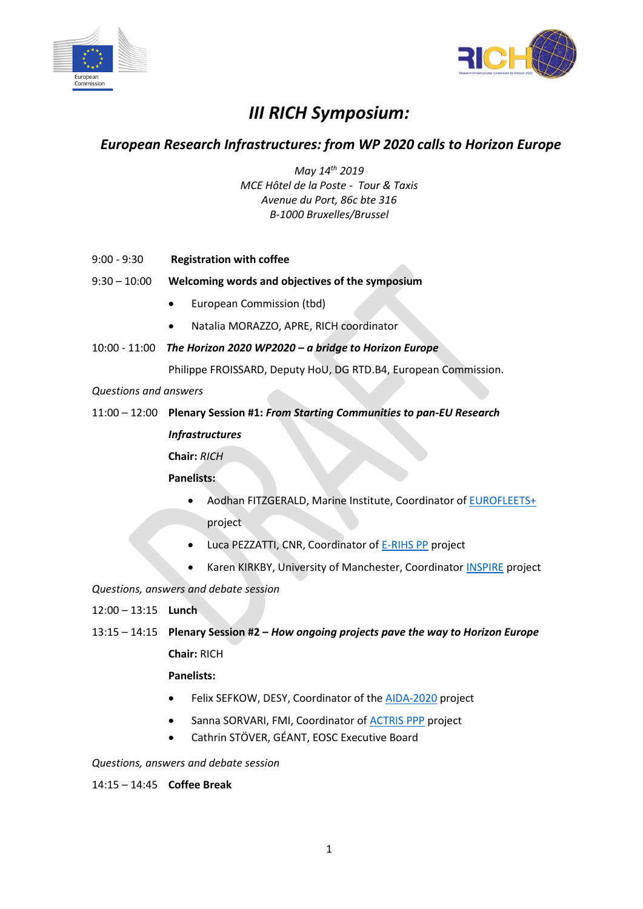



# *III RICH Symposium:*

## *European Research Infrastructures: from WP 2020 calls to Horizon Europe*

*May 14th 2019 MCE Hôtel de la Poste - Tour & Taxis Avenue du Port, 86c bte 316 B-1000 Bruxelles/Brussel*

- 9:00 9:30 **Registration with coffee**
- 9:30 10:00 **Welcoming words and objectives of the symposium**
	- European Commission (tbd)
	- Natalia MORAZZO, APRE, RICH coordinator
- 10:00 11:00 *The Horizon 2020 WP2020 – a bridge to Horizon Europe*

Philippe FROISSARD, Deputy HoU, DG RTD.B4, European Commission.

*Questions and answers*

### 11:00 – 12:00 **Plenary Session #1:** *From Starting Communities to pan-EU Research*

### *Infrastructures*

**Chair:** *RICH*

**Panelists:**

- Aodhan FITZGERALD, Marine Institute, Coordinator o[f EUROFLEETS+](http://www.eurofleets.eu/np4/home.html) project
- Luca PEZZATTI, CNR, Coordinator o[f E-RIHS](http://www.e-rihs.eu/) PP project
- Karen KIRKBY, University of Manchester, Coordinator [INSPIRE](https://protonsinspire.eu/) project

*Questions, answers and debate session*

- 12:00 13:15 **Lunch**
- 13:15 14:15 **Plenary Session #2 –** *How ongoing projects pave the way to Horizon Europe*

**Chair:** RICH

**Panelists:**

- Felix SEFKOW, DESY, Coordinator of the [AIDA-2020](http://aida2020.web.cern.ch/) project
- Sanna SORVARI, FMI, Coordinator of **ACTRIS PPP** project
- Cathrin STÖVER, GÉANT, EOSC Executive Board

*Questions, answers and debate session*

14:15 – 14:45 **Coffee Break**